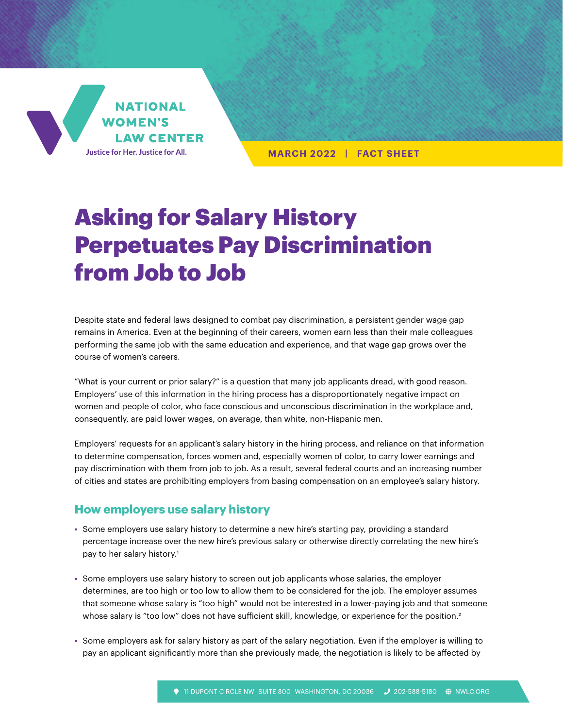

**MARCH 2022 | FACT SHEET**

# Asking for Salary History Perpetuates Pay Discrimination from Job to Job

Despite state and federal laws designed to combat pay discrimination, a persistent gender wage gap remains in America. Even at the beginning of their careers, women earn less than their male colleagues performing the same job with the same education and experience, and that wage gap grows over the course of women's careers.

"What is your current or prior salary?" is a question that many job applicants dread, with good reason. Employers' use of this information in the hiring process has a disproportionately negative impact on women and people of color, who face conscious and unconscious discrimination in the workplace and, consequently, are paid lower wages, on average, than white, non-Hispanic men.

Employers' requests for an applicant's salary history in the hiring process, and reliance on that information to determine compensation, forces women and, especially women of color, to carry lower earnings and pay discrimination with them from job to job. As a result, several federal courts and an increasing number of cities and states are prohibiting employers from basing compensation on an employee's salary history.

## **How employers use salary history**

- **•** Some employers use salary history to determine a new hire's starting pay, providing a standard percentage increase over the new hire's previous salary or otherwise directly correlating the new hire's pay to her salary history.<sup>1</sup>
- **•** Some employers use salary history to screen out job applicants whose salaries, the employer determines, are too high or too low to allow them to be considered for the job. The employer assumes that someone whose salary is "too high" would not be interested in a lower-paying job and that someone whose salary is "too low" does not have sufficient skill, knowledge, or experience for the position.<sup>2</sup>
- **•** Some employers ask for salary history as part of the salary negotiation. Even if the employer is willing to pay an applicant significantly more than she previously made, the negotiation is likely to be affected by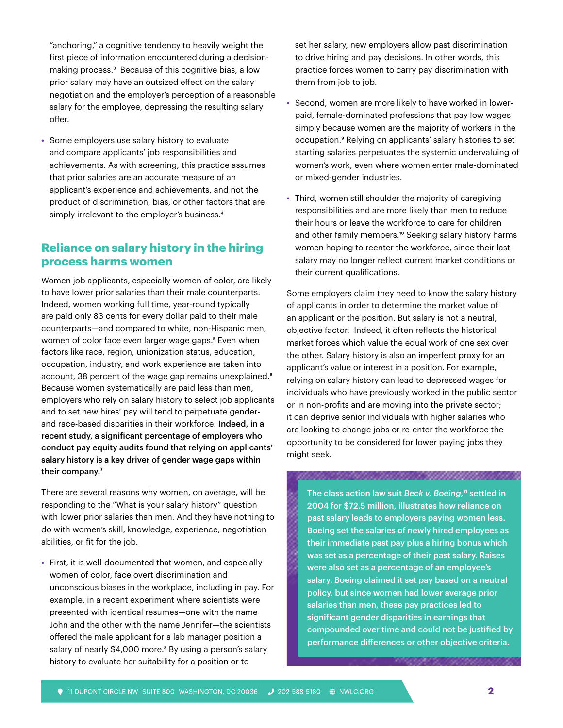"anchoring," a cognitive tendency to heavily weight the first piece of information encountered during a decisionmaking process.<sup>3</sup> Because of this cognitive bias, a low prior salary may have an outsized effect on the salary negotiation and the employer's perception of a reasonable salary for the employee, depressing the resulting salary offer.

**•** Some employers use salary history to evaluate and compare applicants' job responsibilities and achievements. As with screening, this practice assumes that prior salaries are an accurate measure of an applicant's experience and achievements, and not the product of discrimination, bias, or other factors that are simply irrelevant to the employer's business.<sup>4</sup>

## **Reliance on salary history in the hiring process harms women**

Women job applicants, especially women of color, are likely to have lower prior salaries than their male counterparts. Indeed, women working full time, year-round typically are paid only 83 cents for every dollar paid to their male counterparts—and compared to white, non-Hispanic men, women of color face even larger wage gaps.<sup>5</sup> Even when factors like race, region, unionization status, education, occupation, industry, and work experience are taken into account, 38 percent of the wage gap remains unexplained.<sup>6</sup> Because women systematically are paid less than men, employers who rely on salary history to select job applicants and to set new hires' pay will tend to perpetuate genderand race-based disparities in their workforce. Indeed, in a recent study, a significant percentage of employers who conduct pay equity audits found that relying on applicants' salary history is a key driver of gender wage gaps within their company.<sup>7</sup>

There are several reasons why women, on average, will be responding to the "What is your salary history" question with lower prior salaries than men. And they have nothing to do with women's skill, knowledge, experience, negotiation abilities, or fit for the job.

**•** First, it is well-documented that women, and especially women of color, face overt discrimination and unconscious biases in the workplace, including in pay. For example, in a recent experiment where scientists were presented with identical resumes—one with the name John and the other with the name Jennifer—the scientists offered the male applicant for a lab manager position a salary of nearly \$4,000 more.<sup>8</sup> By using a person's salary history to evaluate her suitability for a position or to

set her salary, new employers allow past discrimination to drive hiring and pay decisions. In other words, this practice forces women to carry pay discrimination with them from job to job.

- **•** Second, women are more likely to have worked in lowerpaid, female-dominated professions that pay low wages simply because women are the majority of workers in the occupation.9 Relying on applicants' salary histories to set starting salaries perpetuates the systemic undervaluing of women's work, even where women enter male-dominated or mixed-gender industries.
- **•** Third, women still shoulder the majority of caregiving responsibilities and are more likely than men to reduce their hours or leave the workforce to care for children and other family members.<sup>10</sup> Seeking salary history harms women hoping to reenter the workforce, since their last salary may no longer reflect current market conditions or their current qualifications.

Some employers claim they need to know the salary history of applicants in order to determine the market value of an applicant or the position. But salary is not a neutral, objective factor. Indeed, it often reflects the historical market forces which value the equal work of one sex over the other. Salary history is also an imperfect proxy for an applicant's value or interest in a position. For example, relying on salary history can lead to depressed wages for individuals who have previously worked in the public sector or in non-profits and are moving into the private sector; it can deprive senior individuals with higher salaries who are looking to change jobs or re-enter the workforce the opportunity to be considered for lower paying jobs they might seek.

,,,,,,,,,,,,,,,,,,,,,,,,,,,,,,,,,,

The class action law suit *Beck v. Boeing*,<sup>11</sup> settled in 2004 for \$72.5 million, illustrates how reliance on past salary leads to employers paying women less. Boeing set the salaries of newly hired employees as their immediate past pay plus a hiring bonus which was set as a percentage of their past salary. Raises were also set as a percentage of an employee's salary. Boeing claimed it set pay based on a neutral policy, but since women had lower average prior salaries than men, these pay practices led to significant gender disparities in earnings that compounded over time and could not be justified by performance differences or other objective criteria.

11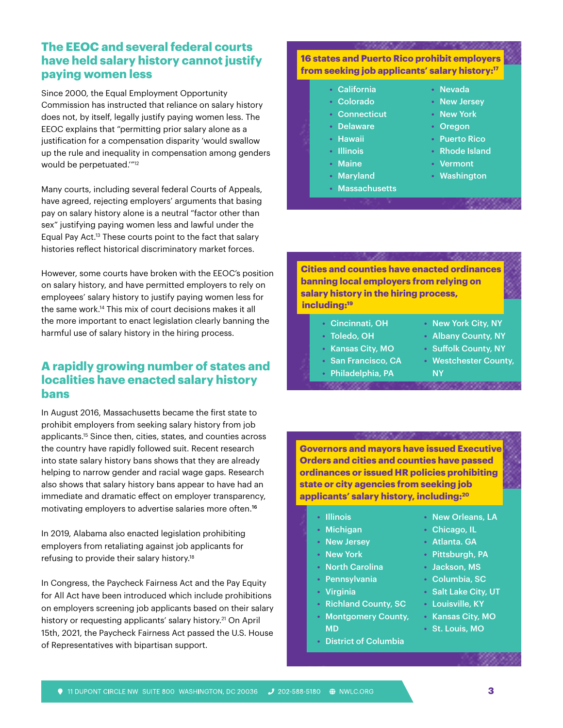# **The EEOC and several federal courts have held salary history cannot justify paying women less**

Since 2000, the Equal Employment Opportunity Commission has instructed that reliance on salary history does not, by itself, legally justify paying women less. The EEOC explains that "permitting prior salary alone as a justification for a compensation disparity 'would swallow up the rule and inequality in compensation among genders would be perpetuated.'"12

Many courts, including several federal Courts of Appeals, have agreed, rejecting employers' arguments that basing pay on salary history alone is a neutral "factor other than sex" justifying paying women less and lawful under the Equal Pay Act.13 These courts point to the fact that salary histories reflect historical discriminatory market forces.

However, some courts have broken with the EEOC's position on salary history, and have permitted employers to rely on employees' salary history to justify paying women less for the same work.14 This mix of court decisions makes it all the more important to enact legislation clearly banning the harmful use of salary history in the hiring process.

### **A rapidly growing number of states and localities have enacted salary history bans**

In August 2016, Massachusetts became the first state to prohibit employers from seeking salary history from job applicants.15 Since then, cities, states, and counties across the country have rapidly followed suit. Recent research into state salary history bans shows that they are already helping to narrow gender and racial wage gaps. Research also shows that salary history bans appear to have had an immediate and dramatic effect on employer transparency, motivating employers to advertise salaries more often.<sup>16</sup>

In 2019, Alabama also enacted legislation prohibiting employers from retaliating against job applicants for refusing to provide their salary history.18

In Congress, the Paycheck Fairness Act and the Pay Equity for All Act have been introduced which include prohibitions on employers screening job applicants based on their salary history or requesting applicants' salary history.<sup>21</sup> On April 15th, 2021, the Paycheck Fairness Act passed the U.S. House of Representatives with bipartisan support.

#### **16 states and Puerto Rico prohibit employers from seeking job applicants' salary history:17**

- **•** California
- **•** Colorado
- **•** Connecticut
- **•** Delaware
- **•** Hawaii
- **•** Illinois
- **•** Maine
- **•** Maryland
- **•** Massachusetts
- **•** Nevada
	- **•** New Jersey
	- **•** New York
	- **•** Oregon
	- **•** Puerto Rico
- **•** Rhode Island
- **•** Vermont
- **•** Washington

#### **Cities and counties have enacted ordinances banning local employers from relying on salary history in the hiring process, including:19**

- **•** Cincinnati, OH
- **•** Toledo, OH
- **•** Kansas City, MO
- **•** San Francisco, CA
- **•** Philadelphia, PA
- 
- **•** New York City, NY
- **•** Albany County, NY
- **•** Suffolk County, NY
- **•** Westchester County,
- NY 00000000000000000

**Governors and mayors have issued Executive Orders and cities and counties have passed ordinances or issued HR policies prohibiting state or city agencies from seeking job applicants' salary history, including:20**

- **•** Illinois
- **•** Michigan
- **•** New Jersey
- **•** New York
- **•** North Carolina
- **•** Pennsylvania
- **•** Virginia
- **•** Richland County, SC
- **•** Montgomery County, MD
- **•** District of Columbia
- **•** New Orleans, LA
- **•** Chicago, IL
- **•** Atlanta. GA
- **•** Pittsburgh, PA
- **•** Jackson, MS
- **•** Columbia, SC
- **•** Salt Lake City, UT
- **•** Louisville, KY
- **•** Kansas City, MO
- **•** St. Louis, MO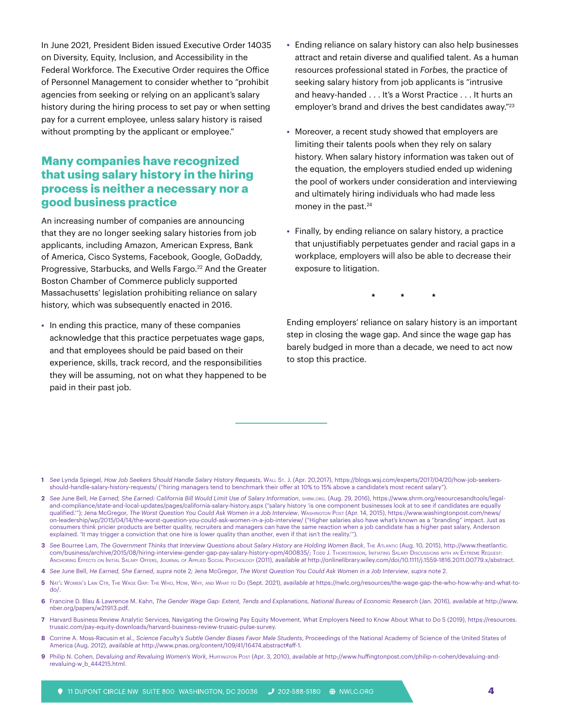In June 2021, President Biden issued Executive Order 14035 on Diversity, Equity, Inclusion, and Accessibility in the Federal Workforce. The Executive Order requires the Office of Personnel Management to consider whether to "prohibit agencies from seeking or relying on an applicant's salary history during the hiring process to set pay or when setting pay for a current employee, unless salary history is raised without prompting by the applicant or employee."

# **Many companies have recognized that using salary history in the hiring process is neither a necessary nor a good business practice**

An increasing number of companies are announcing that they are no longer seeking salary histories from job applicants, including Amazon, American Express, Bank of America, Cisco Systems, Facebook, Google, GoDaddy, Progressive, Starbucks, and Wells Fargo.<sup>22</sup> And the Greater Boston Chamber of Commerce publicly supported Massachusetts' legislation prohibiting reliance on salary history, which was subsequently enacted in 2016.

**•** In ending this practice, many of these companies acknowledge that this practice perpetuates wage gaps, and that employees should be paid based on their experience, skills, track record, and the responsibilities they will be assuming, not on what they happened to be paid in their past job.

- **•** Ending reliance on salary history can also help businesses attract and retain diverse and qualified talent. As a human resources professional stated in *Forbes*, the practice of seeking salary history from job applicants is "intrusive and heavy-handed . . . It's a Worst Practice . . . It hurts an employer's brand and drives the best candidates away."23
- **•** Moreover, a recent study showed that employers are limiting their talents pools when they rely on salary history. When salary history information was taken out of the equation, the employers studied ended up widening the pool of workers under consideration and interviewing and ultimately hiring individuals who had made less money in the past.<sup>24</sup>
- **•** Finally, by ending reliance on salary history, a practice that unjustifiably perpetuates gender and racial gaps in a workplace, employers will also be able to decrease their exposure to litigation.

**\* \* \***

Ending employers' reliance on salary history is an important step in closing the wage gap. And since the wage gap has barely budged in more than a decade, we need to act now to stop this practice.

- **1** *See* Lynda Spiegel, *How Job Seekers Should Handle Salary History Requests*, Wall St. J. (Apr. 20,2017), [https://blogs.wsj.com/experts/2017/04/20/how-job-seekers](https://blogs.wsj.com/experts/2017/04/20/how-job-seekers-should-handle-salary-history-requests/ )[should-handle-salary-history-requests/ \(](https://blogs.wsj.com/experts/2017/04/20/how-job-seekers-should-handle-salary-history-requests/ )"hiring managers tend to benchmark their offer at 10% to 15% above a candidate's most recent salary").
- **2** *See* June Bell, *He Earned, She Earned: California Bill Would Limit Use of Salary Information*, [shrm.org](http://shrm.org). (Aug. 29, 2016), [https://www.shrm.org/resourcesandtools/legal](https://www.shrm.org/resourcesandtools/legal-and-compliance/state-and-local-updates/pages/california-salary-history.aspx)[and-compliance/state-and-local-updates/pages/california-salary-history.aspx](https://www.shrm.org/resourcesandtools/legal-and-compliance/state-and-local-updates/pages/california-salary-history.aspx) ("salary history 'is one component businesses look at to see if candidates are equally qualified.'"); Jena McGregor, *The Worst Question You Could Ask Women in a Job Interview*, Washington Post (Apr. 14, 2015), [https://www.washingtonpost.com/news/](https://www.washingtonpost.com/news/on-leadership/wp/2015/04/14/the-worst-question-you-could-ask-women-in-a-job-interview/ ) [on-leadership/wp/2015/04/14/the-](https://www.washingtonpost.com/news/on-leadership/wp/2015/04/14/the-worst-question-you-could-ask-women-in-a-job-interview/ )worst-question-you-could-ask-women-in-a-job-interview/ ("Higher salaries also have what's known as a "branding" impact. Just as consumers think pricier products are better quality, recruiters and managers can have the same reaction when a job candidate has a higher past salary, Anderson explained. 'It may trigger a conviction that one hire is lower quality than another, even if that isn't the reality.")
- **3** *See* Bourree Lam, *The Government Thinks that Interview Questions about Salary History are Holding Women Back*, The Atlantic (Aug. 10, 2015), [http://www.theatlantic.](http://www.theatlantic.com/business/archive/2015/08/hiring-interview-gender-gap-pay-salary-history-opm/400835) Com/business/archive/2015/08/hiring-interview-gender-gap-pay-salary-history-opm/400835/; Todd J. Thorsteinson, Initiating Salary Discussions with an Extreme Request: Anchoring Effects on Initial Salary Offers, Journal of Applied Social Psychology (2011), *available at* <http://onlinelibrary.wiley.com/doi/10.1111/j.1559-1816.2011.00779.x/abstract>.
- **4** *See* June Bell, *He Earned, She Earned*, *supra* note 2; Jena McGregor, *The Worst Question You Could Ask Women in a Job Interview*, *supra* note 2.
- **5** Nat'l Women's Law Ctr, The Wage Gap: The Who, How, Why, and What to Do (Sept. 2021), *available at* [https://nwlc.org/resources/the](https://www.washingtonpost.com/news/on-leadership/wp/2015/04/14/the-worst-question-you-could-ask-women-in-a-job-interview/ )-wage-gap-the-who-how-why-and-what-todo/.
- **6** Francine D. Blau & Lawrence M. Kahn, *The Gender Wage Gap: Extent, Tends and Explanations, National Bureau of Economic Research* (Jan. 2016), *available at* [http://www.](http://www.nber.org/papers/w21913.pdf) [nber.org/papers/w21913.pdf.](http://www.nber.org/papers/w21913.pdf)
- **7** Harvard Business Review Analytic Services, Navigating the Growing Pay Equity Movement, What Employers Need to Know About What to Do 5 (2019), https://resources. [trusaic.com/pay-equity-downloads/harvard-business-review-trusaic-pulse-survey.](http://trusaic.com/pay-equity-downloads/harvard-business-review-trusaic-pulse-survey)
- **8** Corrine A. Moss-Racusin et al., *Science Faculty's Subtle Gender Biases Favor Male Students*, Proceedings of the National Academy of Science of the United States of America (Aug. 2012), *available at* [http://www.pnas.org/content/109/41/16474.abstract#](http://www.pnas.org/content/109/41/16474.abstract)aff-1.
- **9** Philip N. Cohen, *Devaluing and Revaluing Women's Work*, Huffington Post (Apr. 3, 2010), *available at* [http://www.huffingtonpost.com/philip-n-cohen/devaluing-and](http://www.huffingtonpost.com/philip-n-cohen/devaluing-and-revaluing-w_b_444215.html)[revaluing-w\\_b\\_444215.html.](http://www.huffingtonpost.com/philip-n-cohen/devaluing-and-revaluing-w_b_444215.html)